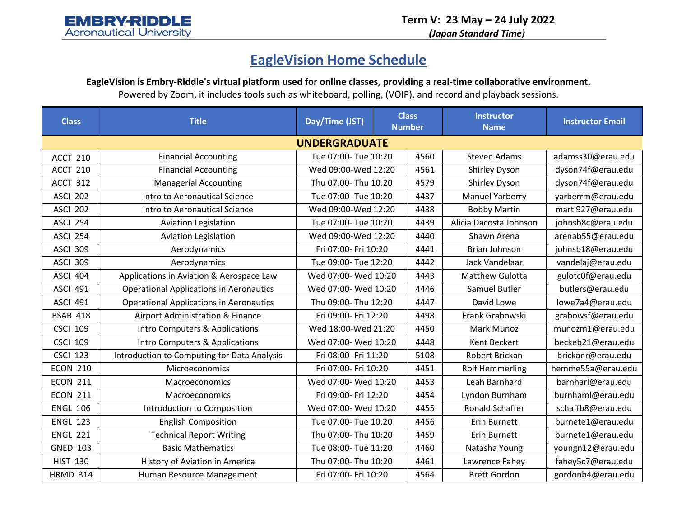*(Japan Standard Time)*

## **EagleVision Home Schedule**

EagleVision is Embry-Riddle's virtual platform used for online classes, providing a real-time collaborative environment.

Powered by Zoom, it includes tools such as whiteboard, polling, (VOIP), and record and playback sessions.

| <b>Class</b>         | <b>Title</b>                                   | Day/Time (JST)       | <b>Class</b><br><b>Number</b> |      | <b>Instructor</b><br><b>Name</b> | <b>Instructor Email</b> |  |
|----------------------|------------------------------------------------|----------------------|-------------------------------|------|----------------------------------|-------------------------|--|
| <b>UNDERGRADUATE</b> |                                                |                      |                               |      |                                  |                         |  |
| ACCT 210             | <b>Financial Accounting</b>                    | Tue 07:00- Tue 10:20 |                               | 4560 | <b>Steven Adams</b>              | adamss30@erau.edu       |  |
| ACCT 210             | <b>Financial Accounting</b>                    | Wed 09:00-Wed 12:20  |                               | 4561 | <b>Shirley Dyson</b>             | dyson74f@erau.edu       |  |
| ACCT 312             | <b>Managerial Accounting</b>                   | Thu 07:00- Thu 10:20 |                               | 4579 | <b>Shirley Dyson</b>             | dyson74f@erau.edu       |  |
| <b>ASCI 202</b>      | Intro to Aeronautical Science                  | Tue 07:00- Tue 10:20 |                               | 4437 | <b>Manuel Yarberry</b>           | yarberrm@erau.edu       |  |
| <b>ASCI 202</b>      | Intro to Aeronautical Science                  | Wed 09:00-Wed 12:20  |                               | 4438 | <b>Bobby Martin</b>              | marti927@erau.edu       |  |
| <b>ASCI 254</b>      | <b>Aviation Legislation</b>                    | Tue 07:00- Tue 10:20 |                               | 4439 | Alicia Dacosta Johnson           | johnsb8c@erau.edu       |  |
| <b>ASCI 254</b>      | <b>Aviation Legislation</b>                    | Wed 09:00-Wed 12:20  |                               | 4440 | Shawn Arena                      | arenab55@erau.edu       |  |
| <b>ASCI 309</b>      | Aerodynamics                                   | Fri 07:00- Fri 10:20 |                               | 4441 | <b>Brian Johnson</b>             | johnsb18@erau.edu       |  |
| <b>ASCI 309</b>      | Aerodynamics                                   | Tue 09:00- Tue 12:20 |                               | 4442 | Jack Vandelaar                   | vandelaj@erau.edu       |  |
| <b>ASCI 404</b>      | Applications in Aviation & Aerospace Law       | Wed 07:00- Wed 10:20 |                               | 4443 | Matthew Gulotta                  | gulotc0f@erau.edu       |  |
| <b>ASCI 491</b>      | <b>Operational Applications in Aeronautics</b> | Wed 07:00- Wed 10:20 |                               | 4446 | Samuel Butler                    | butlers@erau.edu        |  |
| <b>ASCI 491</b>      | <b>Operational Applications in Aeronautics</b> | Thu 09:00- Thu 12:20 |                               | 4447 | David Lowe                       | lowe7a4@erau.edu        |  |
| <b>BSAB 418</b>      | Airport Administration & Finance               | Fri 09:00- Fri 12:20 |                               | 4498 | Frank Grabowski                  | grabowsf@erau.edu       |  |
| <b>CSCI 109</b>      | Intro Computers & Applications                 | Wed 18:00-Wed 21:20  |                               | 4450 | <b>Mark Munoz</b>                | munozm1@erau.edu        |  |
| <b>CSCI 109</b>      | Intro Computers & Applications                 | Wed 07:00- Wed 10:20 |                               | 4448 | Kent Beckert                     | beckeb21@erau.edu       |  |
| <b>CSCI 123</b>      | Introduction to Computing for Data Analysis    | Fri 08:00- Fri 11:20 |                               | 5108 | Robert Brickan                   | brickanr@erau.edu       |  |
| <b>ECON 210</b>      | Microeconomics                                 | Fri 07:00- Fri 10:20 |                               | 4451 | <b>Rolf Hemmerling</b>           | hemme55a@erau.edu       |  |
| <b>ECON 211</b>      | Macroeconomics                                 | Wed 07:00- Wed 10:20 |                               | 4453 | Leah Barnhard                    | barnharl@erau.edu       |  |
| <b>ECON 211</b>      | Macroeconomics                                 | Fri 09:00- Fri 12:20 |                               | 4454 | Lyndon Burnham                   | burnhaml@erau.edu       |  |
| <b>ENGL 106</b>      | Introduction to Composition                    | Wed 07:00- Wed 10:20 |                               | 4455 | Ronald Schaffer                  | schaffb8@erau.edu       |  |
| <b>ENGL 123</b>      | <b>English Composition</b>                     | Tue 07:00- Tue 10:20 |                               | 4456 | Erin Burnett                     | burnete1@erau.edu       |  |
| <b>ENGL 221</b>      | <b>Technical Report Writing</b>                | Thu 07:00- Thu 10:20 |                               | 4459 | Erin Burnett                     | burnete1@erau.edu       |  |
| <b>GNED 103</b>      | <b>Basic Mathematics</b>                       | Tue 08:00- Tue 11:20 |                               | 4460 | Natasha Young                    | youngn12@erau.edu       |  |
| <b>HIST 130</b>      | History of Aviation in America                 | Thu 07:00- Thu 10:20 |                               | 4461 | Lawrence Fahey                   | fahey5c7@erau.edu       |  |
| <b>HRMD 314</b>      | Human Resource Management                      | Fri 07:00- Fri 10:20 |                               | 4564 | <b>Brett Gordon</b>              | gordonb4@erau.edu       |  |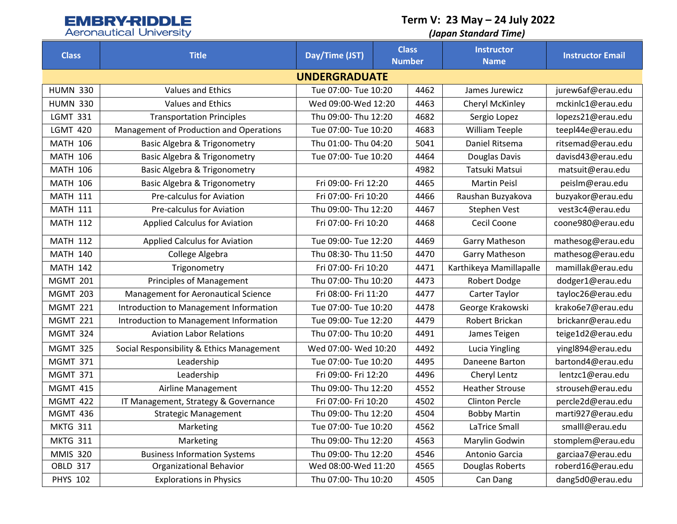# **EMBRY-RIDDLE**<br>Aeronautical University

**Term V: 23 May – 24 July 2022**

### *(Japan Standard Time)*

| <b>Class</b>         | <b>Title</b>                              | Day/Time (JST)       | <b>Class</b><br><b>Number</b> |      | <b>Instructor</b><br><b>Name</b> | <b>Instructor Email</b> |  |
|----------------------|-------------------------------------------|----------------------|-------------------------------|------|----------------------------------|-------------------------|--|
| <b>UNDERGRADUATE</b> |                                           |                      |                               |      |                                  |                         |  |
| <b>HUMN 330</b>      | <b>Values and Ethics</b>                  | Tue 07:00- Tue 10:20 |                               | 4462 | James Jurewicz                   | jurew6af@erau.edu       |  |
| <b>HUMN 330</b>      | <b>Values and Ethics</b>                  | Wed 09:00-Wed 12:20  |                               | 4463 | Cheryl McKinley                  | mckinlc1@erau.edu       |  |
| <b>LGMT 331</b>      | <b>Transportation Principles</b>          | Thu 09:00- Thu 12:20 |                               | 4682 | Sergio Lopez                     | lopezs21@erau.edu       |  |
| <b>LGMT 420</b>      | Management of Production and Operations   | Tue 07:00- Tue 10:20 |                               | 4683 | <b>William Teeple</b>            | teepl44e@erau.edu       |  |
| <b>MATH 106</b>      | <b>Basic Algebra &amp; Trigonometry</b>   | Thu 01:00- Thu 04:20 |                               | 5041 | Daniel Ritsema                   | ritsemad@erau.edu       |  |
| <b>MATH 106</b>      | <b>Basic Algebra &amp; Trigonometry</b>   | Tue 07:00- Tue 10:20 |                               | 4464 | Douglas Davis                    | davisd43@erau.edu       |  |
| <b>MATH 106</b>      | <b>Basic Algebra &amp; Trigonometry</b>   |                      |                               | 4982 | Tatsuki Matsui                   | matsuit@erau.edu        |  |
| <b>MATH 106</b>      | <b>Basic Algebra &amp; Trigonometry</b>   | Fri 09:00- Fri 12:20 |                               | 4465 | <b>Martin Peisl</b>              | peislm@erau.edu         |  |
| <b>MATH 111</b>      | Pre-calculus for Aviation                 | Fri 07:00- Fri 10:20 |                               | 4466 | Raushan Buzyakova                | buzyakor@erau.edu       |  |
| <b>MATH 111</b>      | Pre-calculus for Aviation                 | Thu 09:00- Thu 12:20 |                               | 4467 | Stephen Vest                     | vest3c4@erau.edu        |  |
| <b>MATH 112</b>      | <b>Applied Calculus for Aviation</b>      | Fri 07:00- Fri 10:20 |                               | 4468 | Cecil Coone                      | coone980@erau.edu       |  |
| <b>MATH 112</b>      | <b>Applied Calculus for Aviation</b>      | Tue 09:00- Tue 12:20 |                               | 4469 | <b>Garry Matheson</b>            | mathesog@erau.edu       |  |
| <b>MATH 140</b>      | College Algebra                           | Thu 08:30- Thu 11:50 |                               | 4470 | <b>Garry Matheson</b>            | mathesog@erau.edu       |  |
| <b>MATH 142</b>      | Trigonometry                              | Fri 07:00- Fri 10:20 |                               | 4471 | Karthikeya Mamillapalle          | mamillak@erau.edu       |  |
| <b>MGMT 201</b>      | <b>Principles of Management</b>           | Thu 07:00- Thu 10:20 |                               | 4473 | Robert Dodge                     | dodger1@erau.edu        |  |
| <b>MGMT 203</b>      | Management for Aeronautical Science       | Fri 08:00- Fri 11:20 |                               | 4477 | Carter Taylor                    | tayloc26@erau.edu       |  |
| <b>MGMT 221</b>      | Introduction to Management Information    | Tue 07:00- Tue 10:20 |                               | 4478 | George Krakowski                 | krako6e7@erau.edu       |  |
| <b>MGMT 221</b>      | Introduction to Management Information    | Tue 09:00- Tue 12:20 |                               | 4479 | Robert Brickan                   | brickanr@erau.edu       |  |
| <b>MGMT 324</b>      | <b>Aviation Labor Relations</b>           | Thu 07:00- Thu 10:20 |                               | 4491 | James Teigen                     | teige1d2@erau.edu       |  |
| <b>MGMT 325</b>      | Social Responsibility & Ethics Management | Wed 07:00- Wed 10:20 |                               | 4492 | Lucia Yingling                   | yingl894@erau.edu       |  |
| <b>MGMT 371</b>      | Leadership                                | Tue 07:00- Tue 10:20 |                               | 4495 | Daneene Barton                   | bartond4@erau.edu       |  |
| <b>MGMT 371</b>      | Leadership                                | Fri 09:00- Fri 12:20 |                               | 4496 | Cheryl Lentz                     | lentzc1@erau.edu        |  |
| <b>MGMT 415</b>      | Airline Management                        | Thu 09:00- Thu 12:20 |                               | 4552 | <b>Heather Strouse</b>           | strouseh@erau.edu       |  |
| <b>MGMT 422</b>      | IT Management, Strategy & Governance      | Fri 07:00- Fri 10:20 |                               | 4502 | <b>Clinton Percle</b>            | percle2d@erau.edu       |  |
| <b>MGMT 436</b>      | <b>Strategic Management</b>               | Thu 09:00- Thu 12:20 |                               | 4504 | <b>Bobby Martin</b>              | marti927@erau.edu       |  |
| <b>MKTG 311</b>      | Marketing                                 | Tue 07:00- Tue 10:20 |                               | 4562 | LaTrice Small                    | smalll@erau.edu         |  |
| <b>MKTG 311</b>      | Marketing                                 | Thu 09:00- Thu 12:20 |                               | 4563 | Marylin Godwin                   | stomplem@erau.edu       |  |
| <b>MMIS 320</b>      | <b>Business Information Systems</b>       | Thu 09:00- Thu 12:20 |                               | 4546 | Antonio Garcia                   | garciaa7@erau.edu       |  |
| <b>OBLD 317</b>      | <b>Organizational Behavior</b>            | Wed 08:00-Wed 11:20  |                               | 4565 | Douglas Roberts                  | roberd16@erau.edu       |  |
| <b>PHYS 102</b>      | <b>Explorations in Physics</b>            | Thu 07:00- Thu 10:20 |                               | 4505 | Can Dang                         | dang5d0@erau.edu        |  |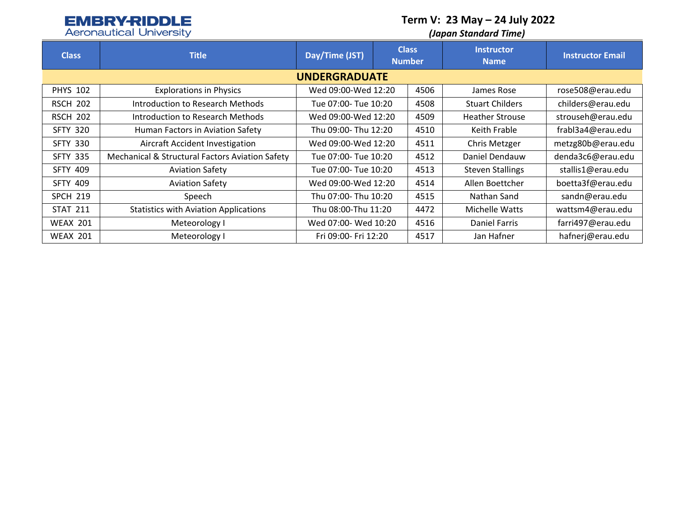# **EMBRY-RIDDLE**

**Term V: 23 May – 24 July 2022**

| <b>Aeronautical University</b> |  |  |
|--------------------------------|--|--|
|                                |  |  |

| <b>Aeronautical University</b> |                                                 | (Japan Standard Time) |                               |      |                                  |                         |  |  |
|--------------------------------|-------------------------------------------------|-----------------------|-------------------------------|------|----------------------------------|-------------------------|--|--|
| <b>Class</b>                   | <b>Title</b>                                    | Day/Time (JST)        | <b>Class</b><br><b>Number</b> |      | <b>Instructor</b><br><b>Name</b> | <b>Instructor Email</b> |  |  |
| <b>UNDERGRADUATE</b>           |                                                 |                       |                               |      |                                  |                         |  |  |
| <b>PHYS 102</b>                | <b>Explorations in Physics</b>                  | Wed 09:00-Wed 12:20   |                               | 4506 | James Rose                       | rose508@erau.edu        |  |  |
| <b>RSCH 202</b>                | Introduction to Research Methods                | Tue 07:00- Tue 10:20  |                               | 4508 | <b>Stuart Childers</b>           | childers@erau.edu       |  |  |
| <b>RSCH 202</b>                | Introduction to Research Methods                | Wed 09:00-Wed 12:20   |                               | 4509 | <b>Heather Strouse</b>           | strouseh@erau.edu       |  |  |
| <b>SFTY 320</b>                | Human Factors in Aviation Safety                | Thu 09:00- Thu 12:20  |                               | 4510 | Keith Frable                     | frabl3a4@erau.edu       |  |  |
| <b>SFTY 330</b>                | Aircraft Accident Investigation                 | Wed 09:00-Wed 12:20   |                               | 4511 | Chris Metzger                    | metzg80b@erau.edu       |  |  |
| <b>SFTY 335</b>                | Mechanical & Structural Factors Aviation Safety | Tue 07:00- Tue 10:20  |                               | 4512 | Daniel Dendauw                   | denda3c6@erau.edu       |  |  |
| <b>SFTY 409</b>                | <b>Aviation Safety</b>                          | Tue 07:00- Tue 10:20  |                               | 4513 | <b>Steven Stallings</b>          | stallis1@erau.edu       |  |  |
| <b>SFTY 409</b>                | <b>Aviation Safety</b>                          | Wed 09:00-Wed 12:20   |                               | 4514 | Allen Boettcher                  | boetta3f@erau.edu       |  |  |
| <b>SPCH 219</b>                | Speech                                          | Thu 07:00- Thu 10:20  |                               | 4515 | Nathan Sand                      | sandn@erau.edu          |  |  |
| <b>STAT 211</b>                | <b>Statistics with Aviation Applications</b>    | Thu 08:00-Thu 11:20   |                               | 4472 | Michelle Watts                   | wattsm4@erau.edu        |  |  |
| <b>WEAX 201</b>                | Meteorology I                                   | Wed 07:00- Wed 10:20  |                               | 4516 | Daniel Farris                    | farri497@erau.edu       |  |  |
| <b>WEAX 201</b>                | Meteorology I                                   | Fri 09:00- Fri 12:20  |                               | 4517 | Jan Hafner                       | hafnerj@erau.edu        |  |  |